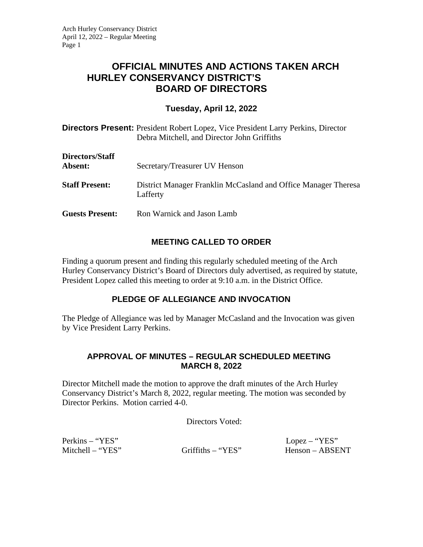# **OFFICIAL MINUTES AND ACTIONS TAKEN ARCH HURLEY CONSERVANCY DISTRICT'S BOARD OF DIRECTORS**

## **Tuesday, April 12, 2022**

**Directors Present:** President Robert Lopez, Vice President Larry Perkins, Director Debra Mitchell, and Director John Griffiths

| Directors/Staff<br>Absent: | Secretary/Treasurer UV Henson                                              |
|----------------------------|----------------------------------------------------------------------------|
| <b>Staff Present:</b>      | District Manager Franklin McCasland and Office Manager Theresa<br>Lafferty |
| <b>Guests Present:</b>     | Ron Warnick and Jason Lamb                                                 |

# **MEETING CALLED TO ORDER**

Finding a quorum present and finding this regularly scheduled meeting of the Arch Hurley Conservancy District's Board of Directors duly advertised, as required by statute, President Lopez called this meeting to order at 9:10 a.m. in the District Office.

# **PLEDGE OF ALLEGIANCE AND INVOCATION**

The Pledge of Allegiance was led by Manager McCasland and the Invocation was given by Vice President Larry Perkins.

### **APPROVAL OF MINUTES – REGULAR SCHEDULED MEETING MARCH 8, 2022**

Director Mitchell made the motion to approve the draft minutes of the Arch Hurley Conservancy District's March 8, 2022, regular meeting. The motion was seconded by Director Perkins. Motion carried 4-0.

Directors Voted:

Perkins – "YES" Lopez – "YES"

Mitchell – "YES" Griffiths – "YES" Henson – ABSENT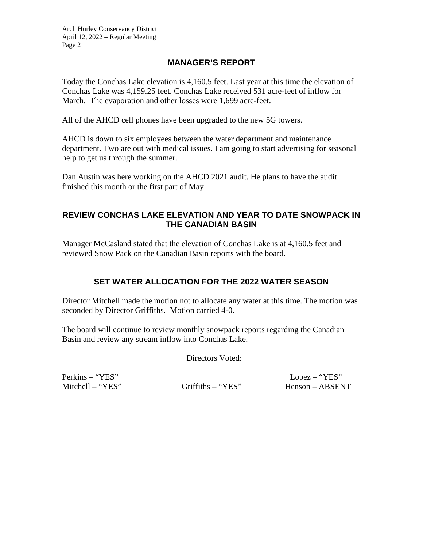## **MANAGER'S REPORT**

Today the Conchas Lake elevation is 4,160.5 feet. Last year at this time the elevation of Conchas Lake was 4,159.25 feet. Conchas Lake received 531 acre-feet of inflow for March. The evaporation and other losses were 1,699 acre-feet.

All of the AHCD cell phones have been upgraded to the new 5G towers.

AHCD is down to six employees between the water department and maintenance department. Two are out with medical issues. I am going to start advertising for seasonal help to get us through the summer.

Dan Austin was here working on the AHCD 2021 audit. He plans to have the audit finished this month or the first part of May.

### **REVIEW CONCHAS LAKE ELEVATION AND YEAR TO DATE SNOWPACK IN THE CANADIAN BASIN**

Manager McCasland stated that the elevation of Conchas Lake is at 4,160.5 feet and reviewed Snow Pack on the Canadian Basin reports with the board.

# **SET WATER ALLOCATION FOR THE 2022 WATER SEASON**

Director Mitchell made the motion not to allocate any water at this time. The motion was seconded by Director Griffiths. Motion carried 4-0.

The board will continue to review monthly snowpack reports regarding the Canadian Basin and review any stream inflow into Conchas Lake.

Directors Voted:

Perkins – "YES" Lopez – "YES" Mitchell – "YES" Griffiths – "YES" Henson – ABSENT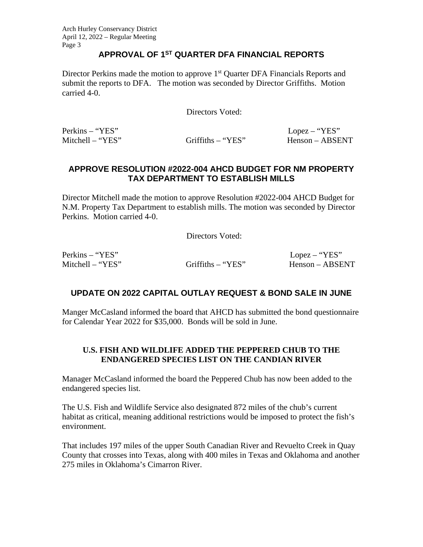#### **APPROVAL OF 1ST QUARTER DFA FINANCIAL REPORTS**

Director Perkins made the motion to approve 1<sup>st</sup> Quarter DFA Financials Reports and submit the reports to DFA. The motion was seconded by Director Griffiths. Motion carried 4-0.

Directors Voted:

Perkins – "YES" Lopez – "YES"

Mitchell – "YES" Griffiths – "YES" Henson – ABSENT

## **APPROVE RESOLUTION #2022-004 AHCD BUDGET FOR NM PROPERTY TAX DEPARTMENT TO ESTABLISH MILLS**

Director Mitchell made the motion to approve Resolution #2022-004 AHCD Budget for N.M. Property Tax Department to establish mills. The motion was seconded by Director Perkins. Motion carried 4-0.

Directors Voted:

Perkins – "YES" Lopez – "YES"

Mitchell – "YES" Griffiths – "YES" Henson – ABSENT

# **UPDATE ON 2022 CAPITAL OUTLAY REQUEST & BOND SALE IN JUNE**

Manger McCasland informed the board that AHCD has submitted the bond questionnaire for Calendar Year 2022 for \$35,000. Bonds will be sold in June.

### **U.S. FISH AND WILDLIFE ADDED THE PEPPERED CHUB TO THE ENDANGERED SPECIES LIST ON THE CANDIAN RIVER**

Manager McCasland informed the board the Peppered Chub has now been added to the endangered species list.

The U.S. Fish and Wildlife Service also designated 872 miles of the chub's current habitat as critical, meaning additional restrictions would be imposed to protect the fish's environment.

That includes 197 miles of the upper South Canadian River and Revuelto Creek in Quay County that crosses into Texas, along with 400 miles in Texas and Oklahoma and another 275 miles in Oklahoma's Cimarron River.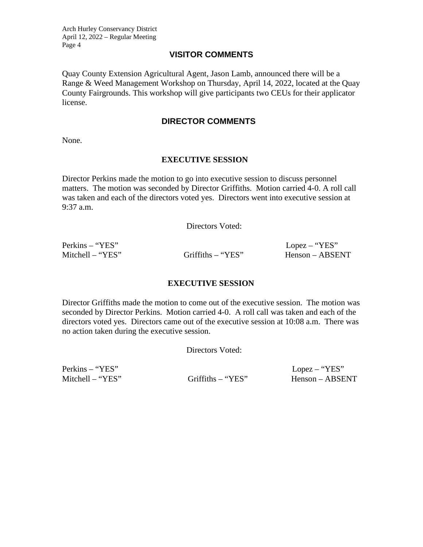#### **VISITOR COMMENTS**

Quay County Extension Agricultural Agent, Jason Lamb, announced there will be a Range & Weed Management Workshop on Thursday, April 14, 2022, located at the Quay County Fairgrounds. This workshop will give participants two CEUs for their applicator license.

#### **DIRECTOR COMMENTS**

None.

#### **EXECUTIVE SESSION**

Director Perkins made the motion to go into executive session to discuss personnel matters. The motion was seconded by Director Griffiths. Motion carried 4-0. A roll call was taken and each of the directors voted yes. Directors went into executive session at 9:37 a.m.

Directors Voted:

Perkins – "YES" Lopez – "YES"

Mitchell – "YES" Griffiths – "YES" Henson – ABSENT

#### **EXECUTIVE SESSION**

Director Griffiths made the motion to come out of the executive session. The motion was seconded by Director Perkins. Motion carried 4-0. A roll call was taken and each of the directors voted yes. Directors came out of the executive session at 10:08 a.m. There was no action taken during the executive session.

Directors Voted:

Perkins – "YES" Lopez – "YES"

Mitchell – "YES" Griffiths – "YES" Henson – ABSENT